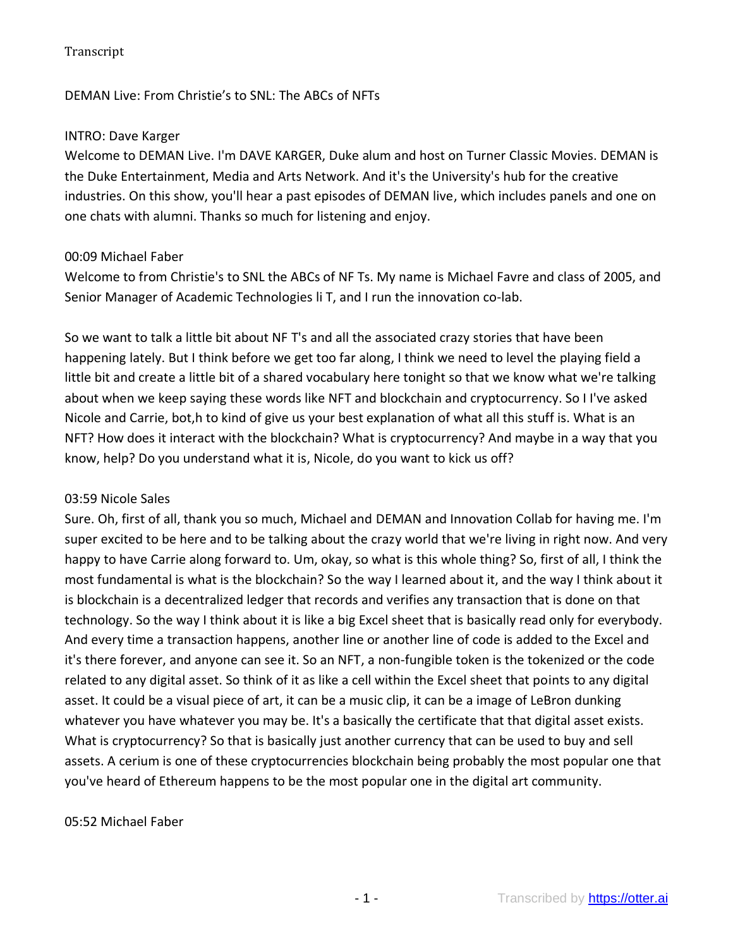### DEMAN Live: From Christie's to SNL: The ABCs of NFTs

#### INTRO: Dave Karger

Welcome to DEMAN Live. I'm DAVE KARGER, Duke alum and host on Turner Classic Movies. DEMAN is the Duke Entertainment, Media and Arts Network. And it's the University's hub for the creative industries. On this show, you'll hear a past episodes of DEMAN live, which includes panels and one on one chats with alumni. Thanks so much for listening and enjoy.

### 00:09 Michael Faber

Welcome to from Christie's to SNL the ABCs of NF Ts. My name is Michael Favre and class of 2005, and Senior Manager of Academic Technologies li T, and I run the innovation co-lab.

So we want to talk a little bit about NF T's and all the associated crazy stories that have been happening lately. But I think before we get too far along, I think we need to level the playing field a little bit and create a little bit of a shared vocabulary here tonight so that we know what we're talking about when we keep saying these words like NFT and blockchain and cryptocurrency. So I I've asked Nicole and Carrie, bot,h to kind of give us your best explanation of what all this stuff is. What is an NFT? How does it interact with the blockchain? What is cryptocurrency? And maybe in a way that you know, help? Do you understand what it is, Nicole, do you want to kick us off?

#### 03:59 Nicole Sales

Sure. Oh, first of all, thank you so much, Michael and DEMAN and Innovation Collab for having me. I'm super excited to be here and to be talking about the crazy world that we're living in right now. And very happy to have Carrie along forward to. Um, okay, so what is this whole thing? So, first of all, I think the most fundamental is what is the blockchain? So the way I learned about it, and the way I think about it is blockchain is a decentralized ledger that records and verifies any transaction that is done on that technology. So the way I think about it is like a big Excel sheet that is basically read only for everybody. And every time a transaction happens, another line or another line of code is added to the Excel and it's there forever, and anyone can see it. So an NFT, a non-fungible token is the tokenized or the code related to any digital asset. So think of it as like a cell within the Excel sheet that points to any digital asset. It could be a visual piece of art, it can be a music clip, it can be a image of LeBron dunking whatever you have whatever you may be. It's a basically the certificate that that digital asset exists. What is cryptocurrency? So that is basically just another currency that can be used to buy and sell assets. A cerium is one of these cryptocurrencies blockchain being probably the most popular one that you've heard of Ethereum happens to be the most popular one in the digital art community.

#### 05:52 Michael Faber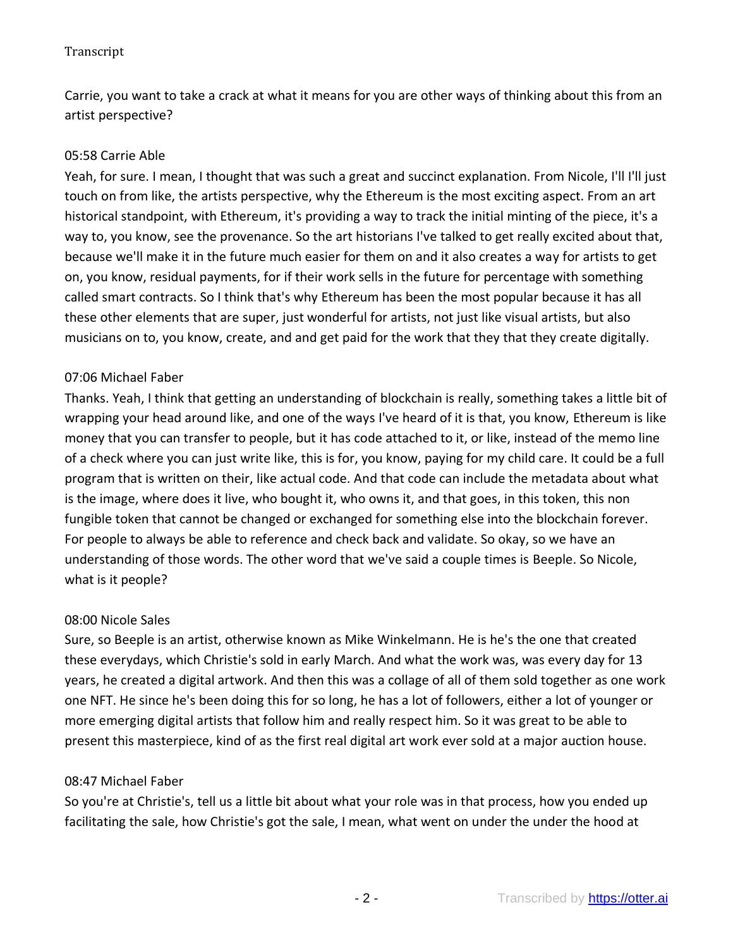Carrie, you want to take a crack at what it means for you are other ways of thinking about this from an artist perspective?

### 05:58 Carrie Able

Yeah, for sure. I mean, I thought that was such a great and succinct explanation. From Nicole, I'll I'll just touch on from like, the artists perspective, why the Ethereum is the most exciting aspect. From an art historical standpoint, with Ethereum, it's providing a way to track the initial minting of the piece, it's a way to, you know, see the provenance. So the art historians I've talked to get really excited about that, because we'll make it in the future much easier for them on and it also creates a way for artists to get on, you know, residual payments, for if their work sells in the future for percentage with something called smart contracts. So I think that's why Ethereum has been the most popular because it has all these other elements that are super, just wonderful for artists, not just like visual artists, but also musicians on to, you know, create, and and get paid for the work that they that they create digitally.

### 07:06 Michael Faber

Thanks. Yeah, I think that getting an understanding of blockchain is really, something takes a little bit of wrapping your head around like, and one of the ways I've heard of it is that, you know, Ethereum is like money that you can transfer to people, but it has code attached to it, or like, instead of the memo line of a check where you can just write like, this is for, you know, paying for my child care. It could be a full program that is written on their, like actual code. And that code can include the metadata about what is the image, where does it live, who bought it, who owns it, and that goes, in this token, this non fungible token that cannot be changed or exchanged for something else into the blockchain forever. For people to always be able to reference and check back and validate. So okay, so we have an understanding of those words. The other word that we've said a couple times is Beeple. So Nicole, what is it people?

#### 08:00 Nicole Sales

Sure, so Beeple is an artist, otherwise known as Mike Winkelmann. He is he's the one that created these everydays, which Christie's sold in early March. And what the work was, was every day for 13 years, he created a digital artwork. And then this was a collage of all of them sold together as one work one NFT. He since he's been doing this for so long, he has a lot of followers, either a lot of younger or more emerging digital artists that follow him and really respect him. So it was great to be able to present this masterpiece, kind of as the first real digital art work ever sold at a major auction house.

#### 08:47 Michael Faber

So you're at Christie's, tell us a little bit about what your role was in that process, how you ended up facilitating the sale, how Christie's got the sale, I mean, what went on under the under the hood at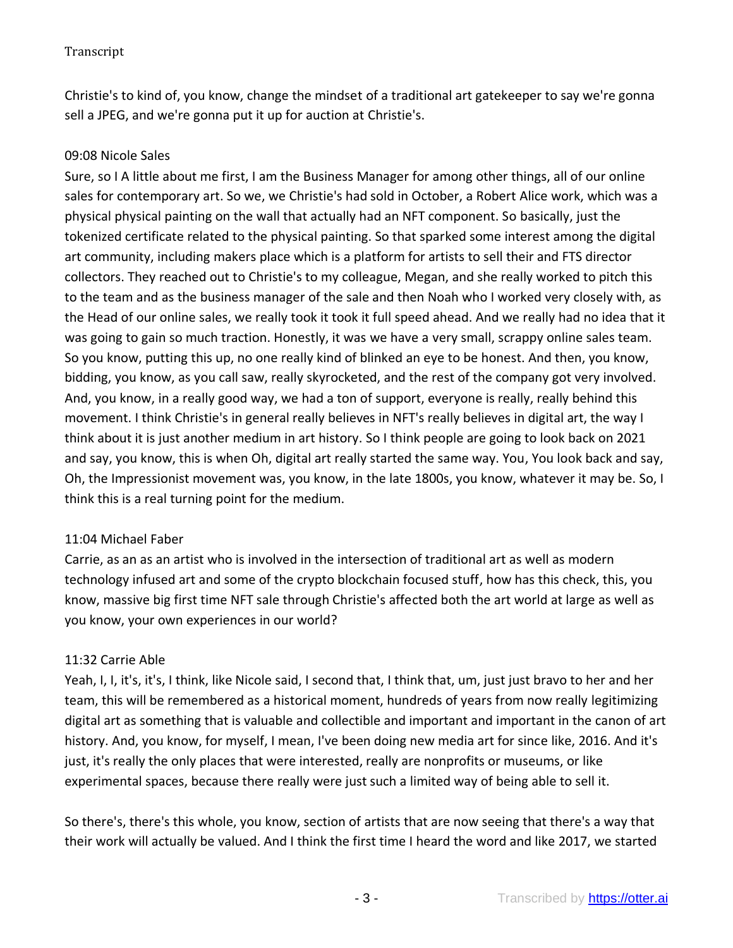Christie's to kind of, you know, change the mindset of a traditional art gatekeeper to say we're gonna sell a JPEG, and we're gonna put it up for auction at Christie's.

### 09:08 Nicole Sales

Sure, so I A little about me first, I am the Business Manager for among other things, all of our online sales for contemporary art. So we, we Christie's had sold in October, a Robert Alice work, which was a physical physical painting on the wall that actually had an NFT component. So basically, just the tokenized certificate related to the physical painting. So that sparked some interest among the digital art community, including makers place which is a platform for artists to sell their and FTS director collectors. They reached out to Christie's to my colleague, Megan, and she really worked to pitch this to the team and as the business manager of the sale and then Noah who I worked very closely with, as the Head of our online sales, we really took it took it full speed ahead. And we really had no idea that it was going to gain so much traction. Honestly, it was we have a very small, scrappy online sales team. So you know, putting this up, no one really kind of blinked an eye to be honest. And then, you know, bidding, you know, as you call saw, really skyrocketed, and the rest of the company got very involved. And, you know, in a really good way, we had a ton of support, everyone is really, really behind this movement. I think Christie's in general really believes in NFT's really believes in digital art, the way I think about it is just another medium in art history. So I think people are going to look back on 2021 and say, you know, this is when Oh, digital art really started the same way. You, You look back and say, Oh, the Impressionist movement was, you know, in the late 1800s, you know, whatever it may be. So, I think this is a real turning point for the medium.

# 11:04 Michael Faber

Carrie, as an as an artist who is involved in the intersection of traditional art as well as modern technology infused art and some of the crypto blockchain focused stuff, how has this check, this, you know, massive big first time NFT sale through Christie's affected both the art world at large as well as you know, your own experiences in our world?

# 11:32 Carrie Able

Yeah, I, I, it's, it's, I think, like Nicole said, I second that, I think that, um, just just bravo to her and her team, this will be remembered as a historical moment, hundreds of years from now really legitimizing digital art as something that is valuable and collectible and important and important in the canon of art history. And, you know, for myself, I mean, I've been doing new media art for since like, 2016. And it's just, it's really the only places that were interested, really are nonprofits or museums, or like experimental spaces, because there really were just such a limited way of being able to sell it.

So there's, there's this whole, you know, section of artists that are now seeing that there's a way that their work will actually be valued. And I think the first time I heard the word and like 2017, we started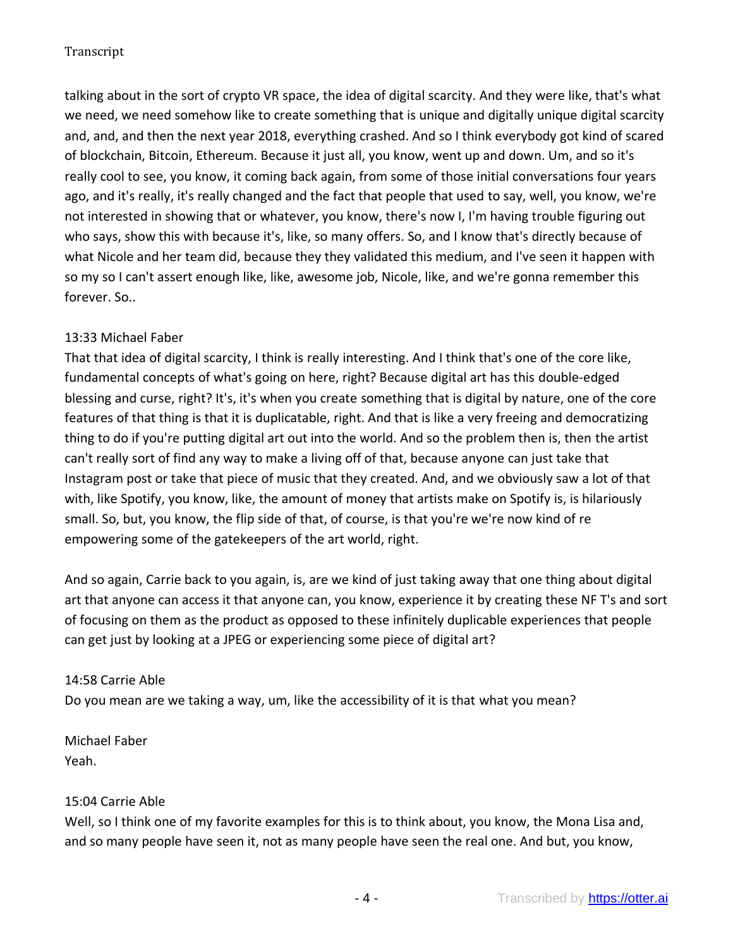talking about in the sort of crypto VR space, the idea of digital scarcity. And they were like, that's what we need, we need somehow like to create something that is unique and digitally unique digital scarcity and, and, and then the next year 2018, everything crashed. And so I think everybody got kind of scared of blockchain, Bitcoin, Ethereum. Because it just all, you know, went up and down. Um, and so it's really cool to see, you know, it coming back again, from some of those initial conversations four years ago, and it's really, it's really changed and the fact that people that used to say, well, you know, we're not interested in showing that or whatever, you know, there's now I, I'm having trouble figuring out who says, show this with because it's, like, so many offers. So, and I know that's directly because of what Nicole and her team did, because they they validated this medium, and I've seen it happen with so my so I can't assert enough like, like, awesome job, Nicole, like, and we're gonna remember this forever. So..

# 13:33 Michael Faber

That that idea of digital scarcity, I think is really interesting. And I think that's one of the core like, fundamental concepts of what's going on here, right? Because digital art has this double-edged blessing and curse, right? It's, it's when you create something that is digital by nature, one of the core features of that thing is that it is duplicatable, right. And that is like a very freeing and democratizing thing to do if you're putting digital art out into the world. And so the problem then is, then the artist can't really sort of find any way to make a living off of that, because anyone can just take that Instagram post or take that piece of music that they created. And, and we obviously saw a lot of that with, like Spotify, you know, like, the amount of money that artists make on Spotify is, is hilariously small. So, but, you know, the flip side of that, of course, is that you're we're now kind of re empowering some of the gatekeepers of the art world, right.

And so again, Carrie back to you again, is, are we kind of just taking away that one thing about digital art that anyone can access it that anyone can, you know, experience it by creating these NF T's and sort of focusing on them as the product as opposed to these infinitely duplicable experiences that people can get just by looking at a JPEG or experiencing some piece of digital art?

# 14:58 Carrie Able

Do you mean are we taking a way, um, like the accessibility of it is that what you mean?

Michael Faber Yeah.

# 15:04 Carrie Able

Well, so I think one of my favorite examples for this is to think about, you know, the Mona Lisa and, and so many people have seen it, not as many people have seen the real one. And but, you know,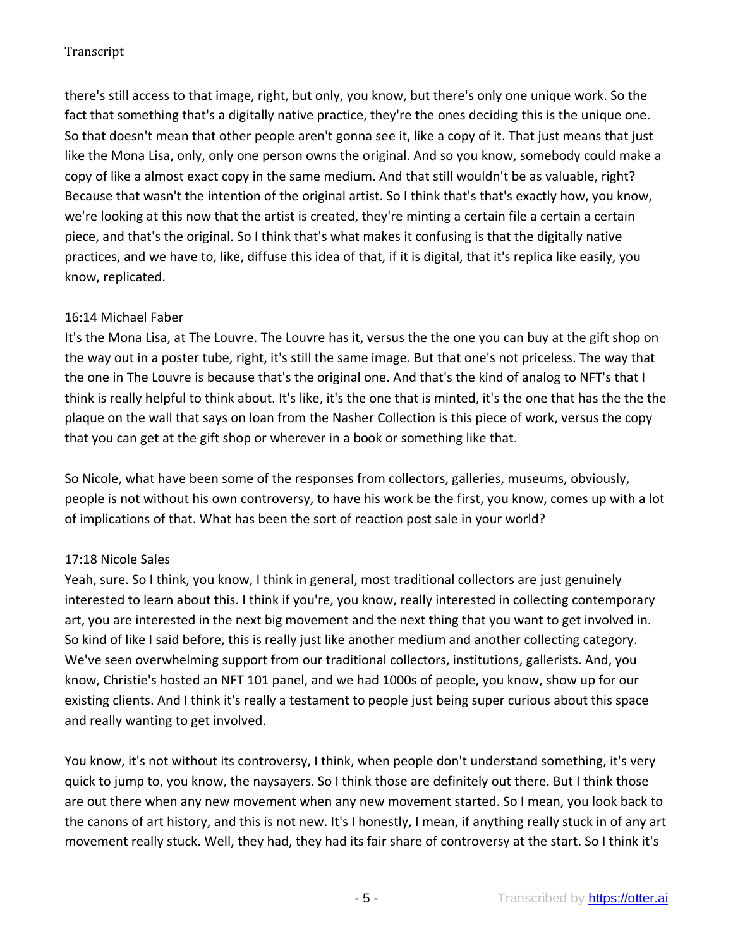there's still access to that image, right, but only, you know, but there's only one unique work. So the fact that something that's a digitally native practice, they're the ones deciding this is the unique one. So that doesn't mean that other people aren't gonna see it, like a copy of it. That just means that just like the Mona Lisa, only, only one person owns the original. And so you know, somebody could make a copy of like a almost exact copy in the same medium. And that still wouldn't be as valuable, right? Because that wasn't the intention of the original artist. So I think that's that's exactly how, you know, we're looking at this now that the artist is created, they're minting a certain file a certain a certain piece, and that's the original. So I think that's what makes it confusing is that the digitally native practices, and we have to, like, diffuse this idea of that, if it is digital, that it's replica like easily, you know, replicated.

# 16:14 Michael Faber

It's the Mona Lisa, at The Louvre. The Louvre has it, versus the the one you can buy at the gift shop on the way out in a poster tube, right, it's still the same image. But that one's not priceless. The way that the one in The Louvre is because that's the original one. And that's the kind of analog to NFT's that I think is really helpful to think about. It's like, it's the one that is minted, it's the one that has the the the plaque on the wall that says on loan from the Nasher Collection is this piece of work, versus the copy that you can get at the gift shop or wherever in a book or something like that.

So Nicole, what have been some of the responses from collectors, galleries, museums, obviously, people is not without his own controversy, to have his work be the first, you know, comes up with a lot of implications of that. What has been the sort of reaction post sale in your world?

# 17:18 Nicole Sales

Yeah, sure. So I think, you know, I think in general, most traditional collectors are just genuinely interested to learn about this. I think if you're, you know, really interested in collecting contemporary art, you are interested in the next big movement and the next thing that you want to get involved in. So kind of like I said before, this is really just like another medium and another collecting category. We've seen overwhelming support from our traditional collectors, institutions, gallerists. And, you know, Christie's hosted an NFT 101 panel, and we had 1000s of people, you know, show up for our existing clients. And I think it's really a testament to people just being super curious about this space and really wanting to get involved.

You know, it's not without its controversy, I think, when people don't understand something, it's very quick to jump to, you know, the naysayers. So I think those are definitely out there. But I think those are out there when any new movement when any new movement started. So I mean, you look back to the canons of art history, and this is not new. It's I honestly, I mean, if anything really stuck in of any art movement really stuck. Well, they had, they had its fair share of controversy at the start. So I think it's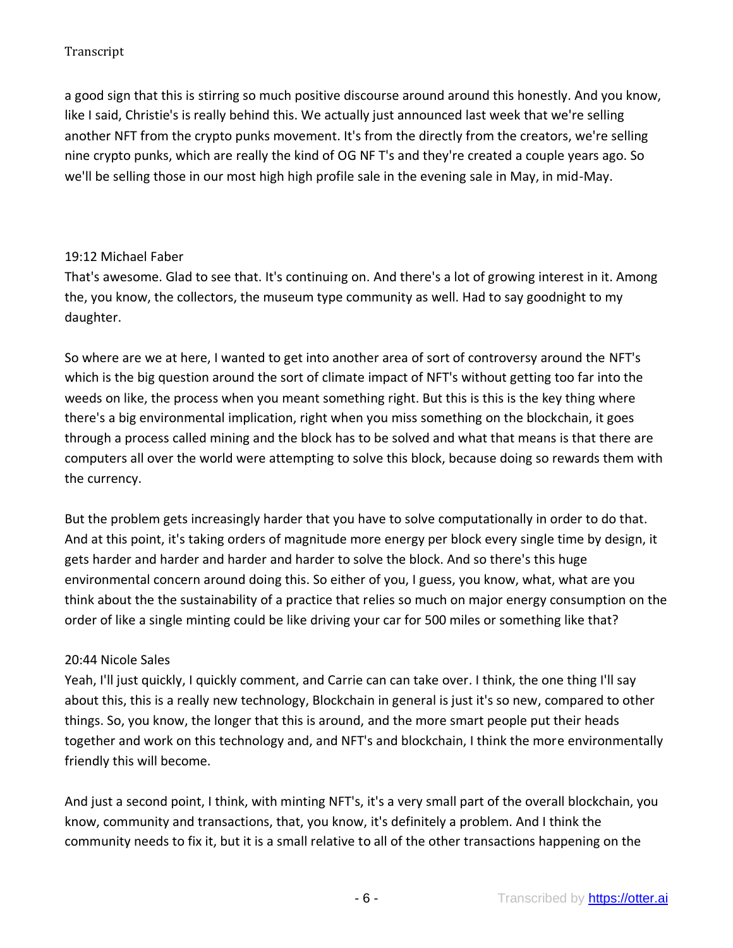a good sign that this is stirring so much positive discourse around around this honestly. And you know, like I said, Christie's is really behind this. We actually just announced last week that we're selling another NFT from the crypto punks movement. It's from the directly from the creators, we're selling nine crypto punks, which are really the kind of OG NF T's and they're created a couple years ago. So we'll be selling those in our most high high profile sale in the evening sale in May, in mid-May.

### 19:12 Michael Faber

That's awesome. Glad to see that. It's continuing on. And there's a lot of growing interest in it. Among the, you know, the collectors, the museum type community as well. Had to say goodnight to my daughter.

So where are we at here, I wanted to get into another area of sort of controversy around the NFT's which is the big question around the sort of climate impact of NFT's without getting too far into the weeds on like, the process when you meant something right. But this is this is the key thing where there's a big environmental implication, right when you miss something on the blockchain, it goes through a process called mining and the block has to be solved and what that means is that there are computers all over the world were attempting to solve this block, because doing so rewards them with the currency.

But the problem gets increasingly harder that you have to solve computationally in order to do that. And at this point, it's taking orders of magnitude more energy per block every single time by design, it gets harder and harder and harder and harder to solve the block. And so there's this huge environmental concern around doing this. So either of you, I guess, you know, what, what are you think about the the sustainability of a practice that relies so much on major energy consumption on the order of like a single minting could be like driving your car for 500 miles or something like that?

# 20:44 Nicole Sales

Yeah, I'll just quickly, I quickly comment, and Carrie can can take over. I think, the one thing I'll say about this, this is a really new technology, Blockchain in general is just it's so new, compared to other things. So, you know, the longer that this is around, and the more smart people put their heads together and work on this technology and, and NFT's and blockchain, I think the more environmentally friendly this will become.

And just a second point, I think, with minting NFT's, it's a very small part of the overall blockchain, you know, community and transactions, that, you know, it's definitely a problem. And I think the community needs to fix it, but it is a small relative to all of the other transactions happening on the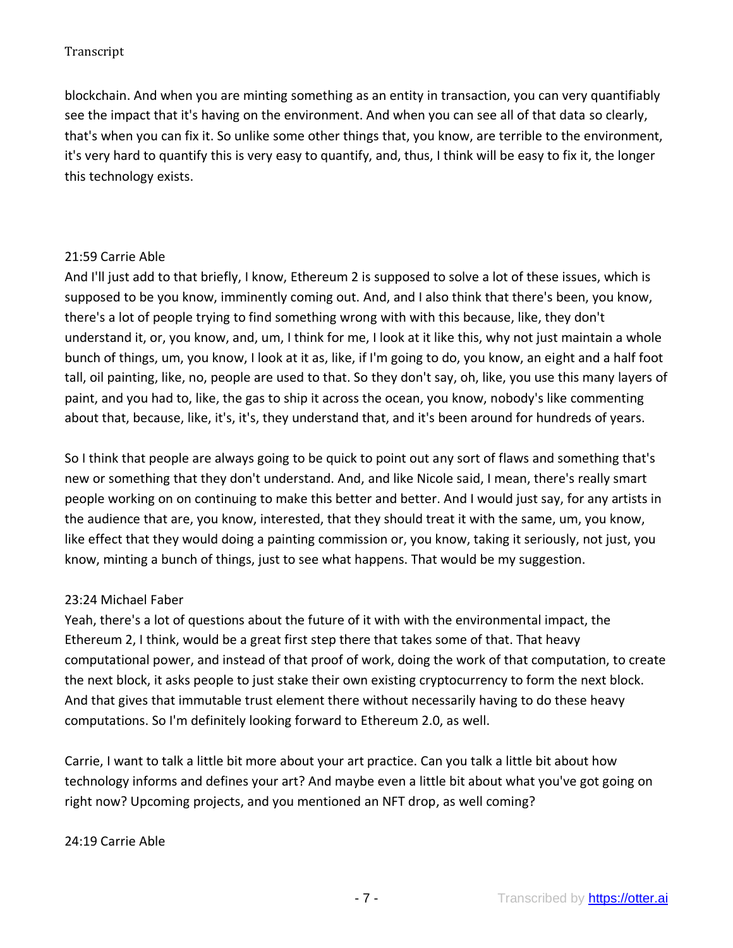blockchain. And when you are minting something as an entity in transaction, you can very quantifiably see the impact that it's having on the environment. And when you can see all of that data so clearly, that's when you can fix it. So unlike some other things that, you know, are terrible to the environment, it's very hard to quantify this is very easy to quantify, and, thus, I think will be easy to fix it, the longer this technology exists.

### 21:59 Carrie Able

And I'll just add to that briefly, I know, Ethereum 2 is supposed to solve a lot of these issues, which is supposed to be you know, imminently coming out. And, and I also think that there's been, you know, there's a lot of people trying to find something wrong with with this because, like, they don't understand it, or, you know, and, um, I think for me, I look at it like this, why not just maintain a whole bunch of things, um, you know, I look at it as, like, if I'm going to do, you know, an eight and a half foot tall, oil painting, like, no, people are used to that. So they don't say, oh, like, you use this many layers of paint, and you had to, like, the gas to ship it across the ocean, you know, nobody's like commenting about that, because, like, it's, it's, they understand that, and it's been around for hundreds of years.

So I think that people are always going to be quick to point out any sort of flaws and something that's new or something that they don't understand. And, and like Nicole said, I mean, there's really smart people working on on continuing to make this better and better. And I would just say, for any artists in the audience that are, you know, interested, that they should treat it with the same, um, you know, like effect that they would doing a painting commission or, you know, taking it seriously, not just, you know, minting a bunch of things, just to see what happens. That would be my suggestion.

# 23:24 Michael Faber

Yeah, there's a lot of questions about the future of it with with the environmental impact, the Ethereum 2, I think, would be a great first step there that takes some of that. That heavy computational power, and instead of that proof of work, doing the work of that computation, to create the next block, it asks people to just stake their own existing cryptocurrency to form the next block. And that gives that immutable trust element there without necessarily having to do these heavy computations. So I'm definitely looking forward to Ethereum 2.0, as well.

Carrie, I want to talk a little bit more about your art practice. Can you talk a little bit about how technology informs and defines your art? And maybe even a little bit about what you've got going on right now? Upcoming projects, and you mentioned an NFT drop, as well coming?

#### 24:19 Carrie Able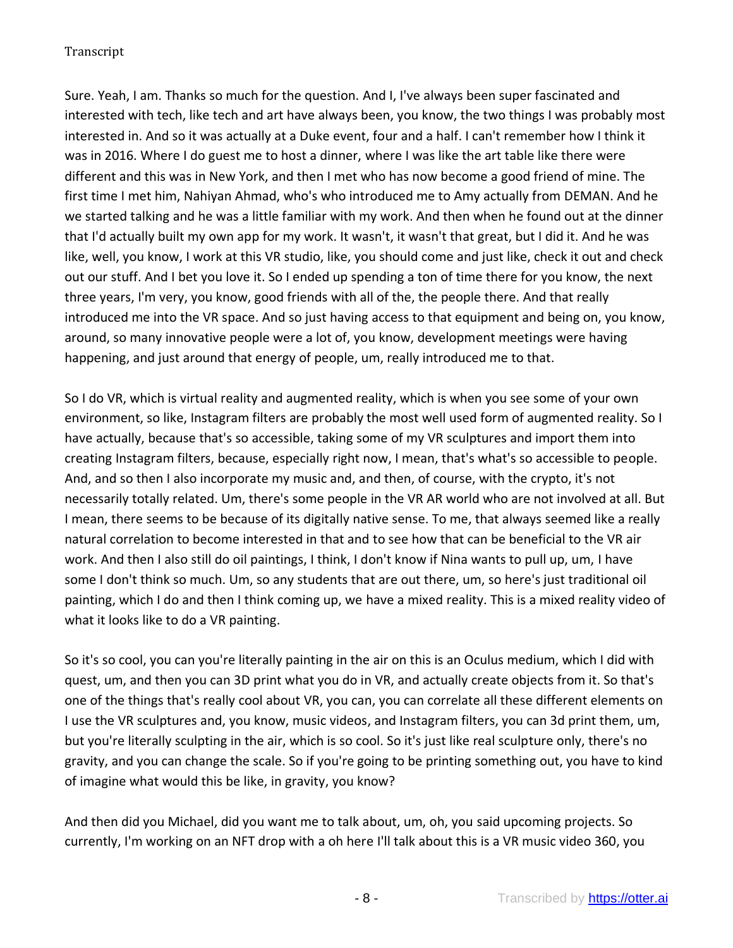Sure. Yeah, I am. Thanks so much for the question. And I, I've always been super fascinated and interested with tech, like tech and art have always been, you know, the two things I was probably most interested in. And so it was actually at a Duke event, four and a half. I can't remember how I think it was in 2016. Where I do guest me to host a dinner, where I was like the art table like there were different and this was in New York, and then I met who has now become a good friend of mine. The first time I met him, Nahiyan Ahmad, who's who introduced me to Amy actually from DEMAN. And he we started talking and he was a little familiar with my work. And then when he found out at the dinner that I'd actually built my own app for my work. It wasn't, it wasn't that great, but I did it. And he was like, well, you know, I work at this VR studio, like, you should come and just like, check it out and check out our stuff. And I bet you love it. So I ended up spending a ton of time there for you know, the next three years, I'm very, you know, good friends with all of the, the people there. And that really introduced me into the VR space. And so just having access to that equipment and being on, you know, around, so many innovative people were a lot of, you know, development meetings were having happening, and just around that energy of people, um, really introduced me to that.

So I do VR, which is virtual reality and augmented reality, which is when you see some of your own environment, so like, Instagram filters are probably the most well used form of augmented reality. So I have actually, because that's so accessible, taking some of my VR sculptures and import them into creating Instagram filters, because, especially right now, I mean, that's what's so accessible to people. And, and so then I also incorporate my music and, and then, of course, with the crypto, it's not necessarily totally related. Um, there's some people in the VR AR world who are not involved at all. But I mean, there seems to be because of its digitally native sense. To me, that always seemed like a really natural correlation to become interested in that and to see how that can be beneficial to the VR air work. And then I also still do oil paintings, I think, I don't know if Nina wants to pull up, um, I have some I don't think so much. Um, so any students that are out there, um, so here's just traditional oil painting, which I do and then I think coming up, we have a mixed reality. This is a mixed reality video of what it looks like to do a VR painting.

So it's so cool, you can you're literally painting in the air on this is an Oculus medium, which I did with quest, um, and then you can 3D print what you do in VR, and actually create objects from it. So that's one of the things that's really cool about VR, you can, you can correlate all these different elements on I use the VR sculptures and, you know, music videos, and Instagram filters, you can 3d print them, um, but you're literally sculpting in the air, which is so cool. So it's just like real sculpture only, there's no gravity, and you can change the scale. So if you're going to be printing something out, you have to kind of imagine what would this be like, in gravity, you know?

And then did you Michael, did you want me to talk about, um, oh, you said upcoming projects. So currently, I'm working on an NFT drop with a oh here I'll talk about this is a VR music video 360, you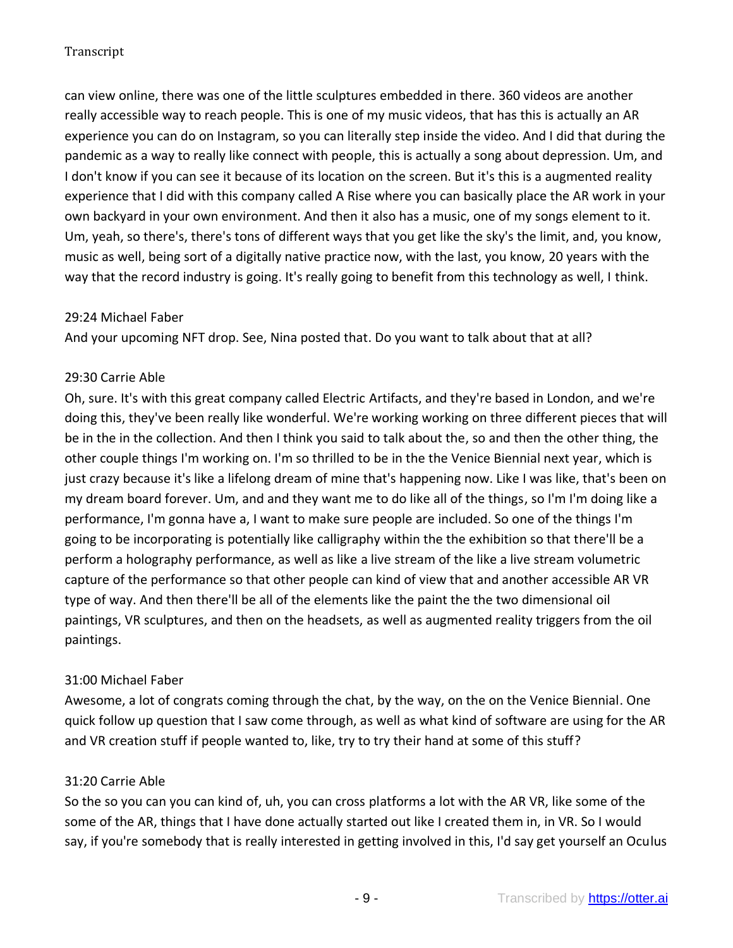can view online, there was one of the little sculptures embedded in there. 360 videos are another really accessible way to reach people. This is one of my music videos, that has this is actually an AR experience you can do on Instagram, so you can literally step inside the video. And I did that during the pandemic as a way to really like connect with people, this is actually a song about depression. Um, and I don't know if you can see it because of its location on the screen. But it's this is a augmented reality experience that I did with this company called A Rise where you can basically place the AR work in your own backyard in your own environment. And then it also has a music, one of my songs element to it. Um, yeah, so there's, there's tons of different ways that you get like the sky's the limit, and, you know, music as well, being sort of a digitally native practice now, with the last, you know, 20 years with the way that the record industry is going. It's really going to benefit from this technology as well, I think.

#### 29:24 Michael Faber

And your upcoming NFT drop. See, Nina posted that. Do you want to talk about that at all?

### 29:30 Carrie Able

Oh, sure. It's with this great company called Electric Artifacts, and they're based in London, and we're doing this, they've been really like wonderful. We're working working on three different pieces that will be in the in the collection. And then I think you said to talk about the, so and then the other thing, the other couple things I'm working on. I'm so thrilled to be in the the Venice Biennial next year, which is just crazy because it's like a lifelong dream of mine that's happening now. Like I was like, that's been on my dream board forever. Um, and and they want me to do like all of the things, so I'm I'm doing like a performance, I'm gonna have a, I want to make sure people are included. So one of the things I'm going to be incorporating is potentially like calligraphy within the the exhibition so that there'll be a perform a holography performance, as well as like a live stream of the like a live stream volumetric capture of the performance so that other people can kind of view that and another accessible AR VR type of way. And then there'll be all of the elements like the paint the the two dimensional oil paintings, VR sculptures, and then on the headsets, as well as augmented reality triggers from the oil paintings.

# 31:00 Michael Faber

Awesome, a lot of congrats coming through the chat, by the way, on the on the Venice Biennial. One quick follow up question that I saw come through, as well as what kind of software are using for the AR and VR creation stuff if people wanted to, like, try to try their hand at some of this stuff?

#### 31:20 Carrie Able

So the so you can you can kind of, uh, you can cross platforms a lot with the AR VR, like some of the some of the AR, things that I have done actually started out like I created them in, in VR. So I would say, if you're somebody that is really interested in getting involved in this, I'd say get yourself an Oculus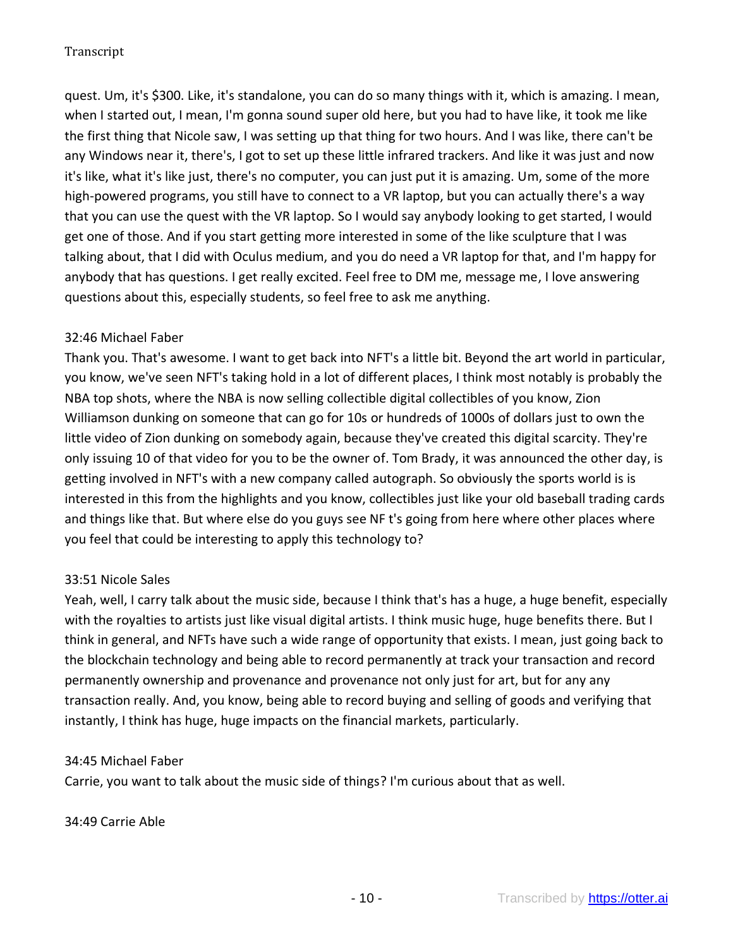quest. Um, it's \$300. Like, it's standalone, you can do so many things with it, which is amazing. I mean, when I started out, I mean, I'm gonna sound super old here, but you had to have like, it took me like the first thing that Nicole saw, I was setting up that thing for two hours. And I was like, there can't be any Windows near it, there's, I got to set up these little infrared trackers. And like it was just and now it's like, what it's like just, there's no computer, you can just put it is amazing. Um, some of the more high-powered programs, you still have to connect to a VR laptop, but you can actually there's a way that you can use the quest with the VR laptop. So I would say anybody looking to get started, I would get one of those. And if you start getting more interested in some of the like sculpture that I was talking about, that I did with Oculus medium, and you do need a VR laptop for that, and I'm happy for anybody that has questions. I get really excited. Feel free to DM me, message me, I love answering questions about this, especially students, so feel free to ask me anything.

### 32:46 Michael Faber

Thank you. That's awesome. I want to get back into NFT's a little bit. Beyond the art world in particular, you know, we've seen NFT's taking hold in a lot of different places, I think most notably is probably the NBA top shots, where the NBA is now selling collectible digital collectibles of you know, Zion Williamson dunking on someone that can go for 10s or hundreds of 1000s of dollars just to own the little video of Zion dunking on somebody again, because they've created this digital scarcity. They're only issuing 10 of that video for you to be the owner of. Tom Brady, it was announced the other day, is getting involved in NFT's with a new company called autograph. So obviously the sports world is is interested in this from the highlights and you know, collectibles just like your old baseball trading cards and things like that. But where else do you guys see NF t's going from here where other places where you feel that could be interesting to apply this technology to?

# 33:51 Nicole Sales

Yeah, well, I carry talk about the music side, because I think that's has a huge, a huge benefit, especially with the royalties to artists just like visual digital artists. I think music huge, huge benefits there. But I think in general, and NFTs have such a wide range of opportunity that exists. I mean, just going back to the blockchain technology and being able to record permanently at track your transaction and record permanently ownership and provenance and provenance not only just for art, but for any any transaction really. And, you know, being able to record buying and selling of goods and verifying that instantly, I think has huge, huge impacts on the financial markets, particularly.

#### 34:45 Michael Faber

Carrie, you want to talk about the music side of things? I'm curious about that as well.

#### 34:49 Carrie Able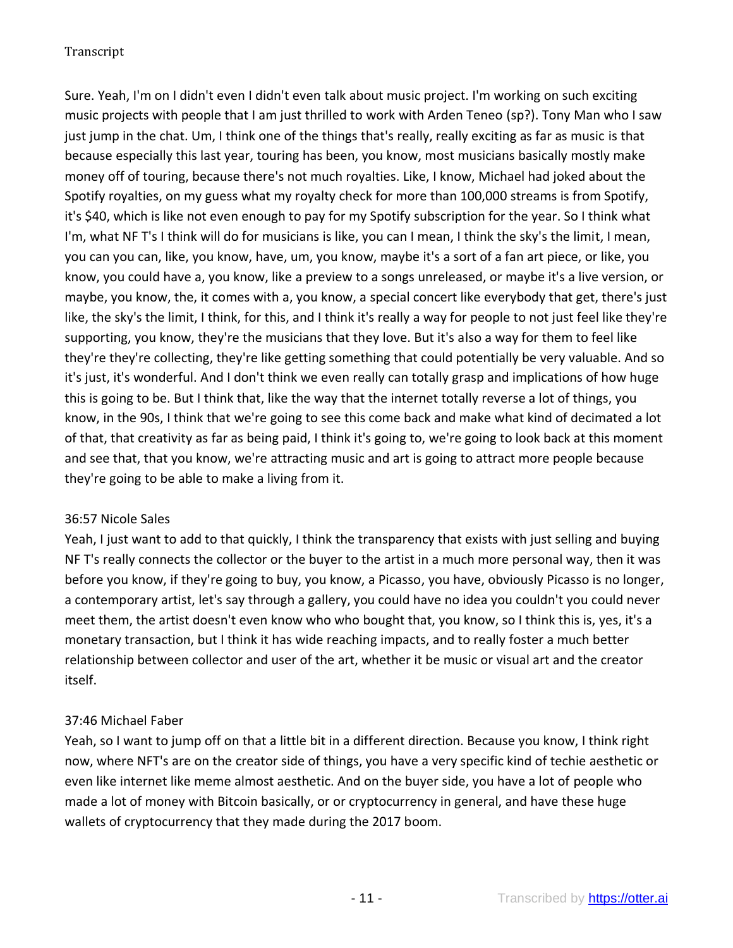Sure. Yeah, I'm on I didn't even I didn't even talk about music project. I'm working on such exciting music projects with people that I am just thrilled to work with Arden Teneo (sp?). Tony Man who I saw just jump in the chat. Um, I think one of the things that's really, really exciting as far as music is that because especially this last year, touring has been, you know, most musicians basically mostly make money off of touring, because there's not much royalties. Like, I know, Michael had joked about the Spotify royalties, on my guess what my royalty check for more than 100,000 streams is from Spotify, it's \$40, which is like not even enough to pay for my Spotify subscription for the year. So I think what I'm, what NF T's I think will do for musicians is like, you can I mean, I think the sky's the limit, I mean, you can you can, like, you know, have, um, you know, maybe it's a sort of a fan art piece, or like, you know, you could have a, you know, like a preview to a songs unreleased, or maybe it's a live version, or maybe, you know, the, it comes with a, you know, a special concert like everybody that get, there's just like, the sky's the limit, I think, for this, and I think it's really a way for people to not just feel like they're supporting, you know, they're the musicians that they love. But it's also a way for them to feel like they're they're collecting, they're like getting something that could potentially be very valuable. And so it's just, it's wonderful. And I don't think we even really can totally grasp and implications of how huge this is going to be. But I think that, like the way that the internet totally reverse a lot of things, you know, in the 90s, I think that we're going to see this come back and make what kind of decimated a lot of that, that creativity as far as being paid, I think it's going to, we're going to look back at this moment and see that, that you know, we're attracting music and art is going to attract more people because they're going to be able to make a living from it.

# 36:57 Nicole Sales

Yeah, I just want to add to that quickly, I think the transparency that exists with just selling and buying NF T's really connects the collector or the buyer to the artist in a much more personal way, then it was before you know, if they're going to buy, you know, a Picasso, you have, obviously Picasso is no longer, a contemporary artist, let's say through a gallery, you could have no idea you couldn't you could never meet them, the artist doesn't even know who who bought that, you know, so I think this is, yes, it's a monetary transaction, but I think it has wide reaching impacts, and to really foster a much better relationship between collector and user of the art, whether it be music or visual art and the creator itself.

# 37:46 Michael Faber

Yeah, so I want to jump off on that a little bit in a different direction. Because you know, I think right now, where NFT's are on the creator side of things, you have a very specific kind of techie aesthetic or even like internet like meme almost aesthetic. And on the buyer side, you have a lot of people who made a lot of money with Bitcoin basically, or or cryptocurrency in general, and have these huge wallets of cryptocurrency that they made during the 2017 boom.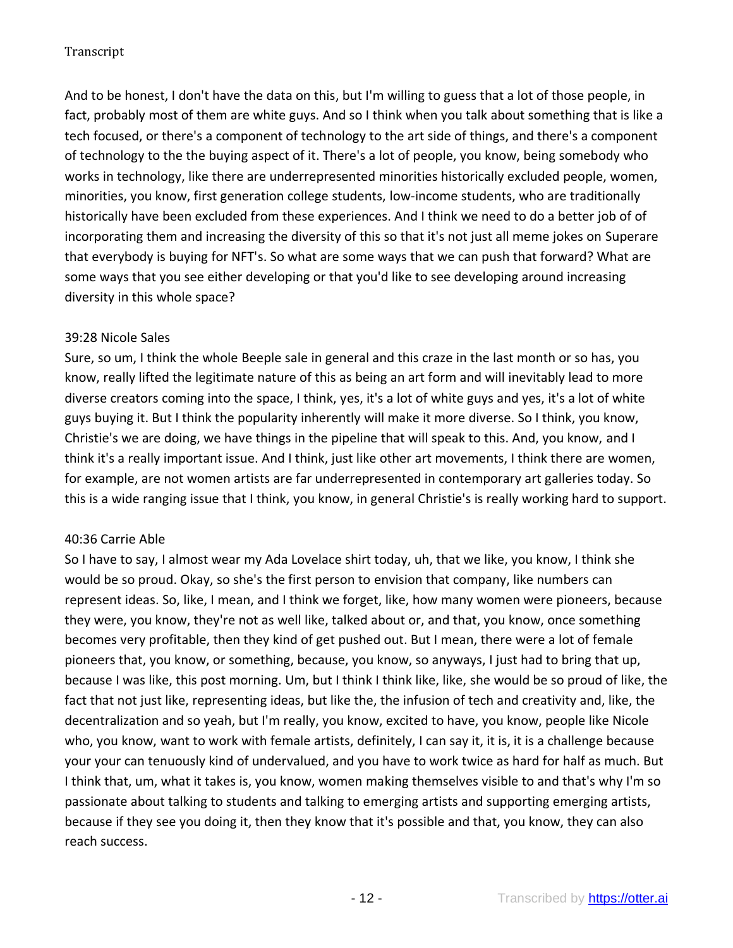And to be honest, I don't have the data on this, but I'm willing to guess that a lot of those people, in fact, probably most of them are white guys. And so I think when you talk about something that is like a tech focused, or there's a component of technology to the art side of things, and there's a component of technology to the the buying aspect of it. There's a lot of people, you know, being somebody who works in technology, like there are underrepresented minorities historically excluded people, women, minorities, you know, first generation college students, low-income students, who are traditionally historically have been excluded from these experiences. And I think we need to do a better job of of incorporating them and increasing the diversity of this so that it's not just all meme jokes on Superare that everybody is buying for NFT's. So what are some ways that we can push that forward? What are some ways that you see either developing or that you'd like to see developing around increasing diversity in this whole space?

### 39:28 Nicole Sales

Sure, so um, I think the whole Beeple sale in general and this craze in the last month or so has, you know, really lifted the legitimate nature of this as being an art form and will inevitably lead to more diverse creators coming into the space, I think, yes, it's a lot of white guys and yes, it's a lot of white guys buying it. But I think the popularity inherently will make it more diverse. So I think, you know, Christie's we are doing, we have things in the pipeline that will speak to this. And, you know, and I think it's a really important issue. And I think, just like other art movements, I think there are women, for example, are not women artists are far underrepresented in contemporary art galleries today. So this is a wide ranging issue that I think, you know, in general Christie's is really working hard to support.

#### 40:36 Carrie Able

So I have to say, I almost wear my Ada Lovelace shirt today, uh, that we like, you know, I think she would be so proud. Okay, so she's the first person to envision that company, like numbers can represent ideas. So, like, I mean, and I think we forget, like, how many women were pioneers, because they were, you know, they're not as well like, talked about or, and that, you know, once something becomes very profitable, then they kind of get pushed out. But I mean, there were a lot of female pioneers that, you know, or something, because, you know, so anyways, I just had to bring that up, because I was like, this post morning. Um, but I think I think like, like, she would be so proud of like, the fact that not just like, representing ideas, but like the, the infusion of tech and creativity and, like, the decentralization and so yeah, but I'm really, you know, excited to have, you know, people like Nicole who, you know, want to work with female artists, definitely, I can say it, it is, it is a challenge because your your can tenuously kind of undervalued, and you have to work twice as hard for half as much. But I think that, um, what it takes is, you know, women making themselves visible to and that's why I'm so passionate about talking to students and talking to emerging artists and supporting emerging artists, because if they see you doing it, then they know that it's possible and that, you know, they can also reach success.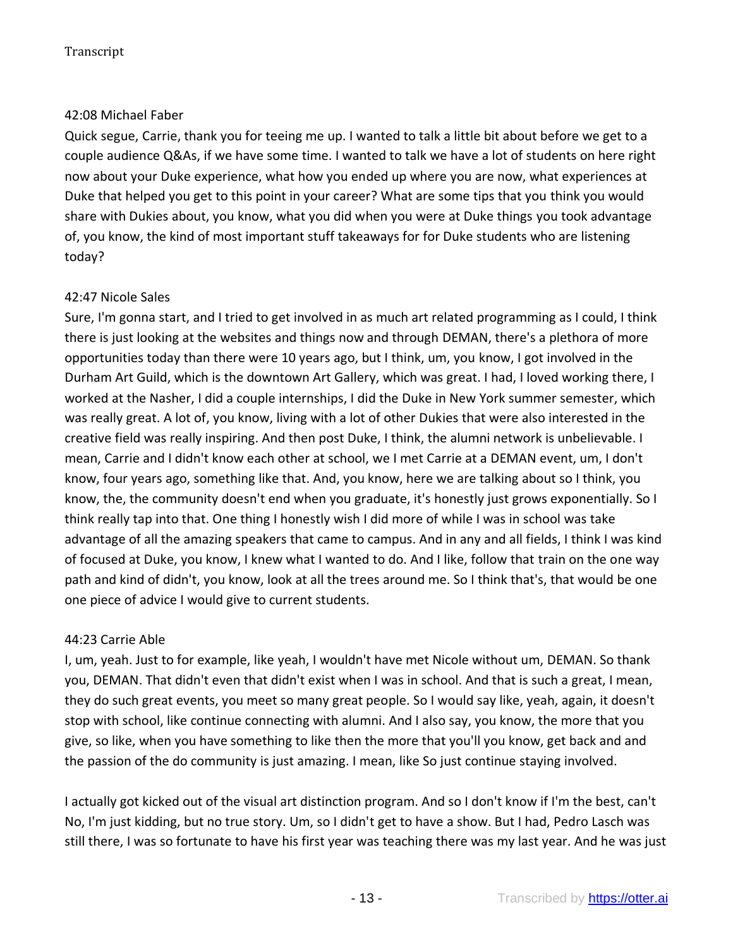# 42:08 Michael Faber

Quick segue, Carrie, thank you for teeing me up. I wanted to talk a little bit about before we get to a couple audience Q&As, if we have some time. I wanted to talk we have a lot of students on here right now about your Duke experience, what how you ended up where you are now, what experiences at Duke that helped you get to this point in your career? What are some tips that you think you would share with Dukies about, you know, what you did when you were at Duke things you took advantage of, you know, the kind of most important stuff takeaways for for Duke students who are listening today?

# 42:47 Nicole Sales

Sure, I'm gonna start, and I tried to get involved in as much art related programming as I could, I think there is just looking at the websites and things now and through DEMAN, there's a plethora of more opportunities today than there were 10 years ago, but I think, um, you know, I got involved in the Durham Art Guild, which is the downtown Art Gallery, which was great. I had, I loved working there, I worked at the Nasher, I did a couple internships, I did the Duke in New York summer semester, which was really great. A lot of, you know, living with a lot of other Dukies that were also interested in the creative field was really inspiring. And then post Duke, I think, the alumni network is unbelievable. I mean, Carrie and I didn't know each other at school, we I met Carrie at a DEMAN event, um, I don't know, four years ago, something like that. And, you know, here we are talking about so I think, you know, the, the community doesn't end when you graduate, it's honestly just grows exponentially. So I think really tap into that. One thing I honestly wish I did more of while I was in school was take advantage of all the amazing speakers that came to campus. And in any and all fields, I think I was kind of focused at Duke, you know, I knew what I wanted to do. And I like, follow that train on the one way path and kind of didn't, you know, look at all the trees around me. So I think that's, that would be one one piece of advice I would give to current students.

# 44:23 Carrie Able

I, um, yeah. Just to for example, like yeah, I wouldn't have met Nicole without um, DEMAN. So thank you, DEMAN. That didn't even that didn't exist when I was in school. And that is such a great, I mean, they do such great events, you meet so many great people. So I would say like, yeah, again, it doesn't stop with school, like continue connecting with alumni. And I also say, you know, the more that you give, so like, when you have something to like then the more that you'll you know, get back and and the passion of the do community is just amazing. I mean, like So just continue staying involved.

I actually got kicked out of the visual art distinction program. And so I don't know if I'm the best, can't No, I'm just kidding, but no true story. Um, so I didn't get to have a show. But I had, Pedro Lasch was still there, I was so fortunate to have his first year was teaching there was my last year. And he was just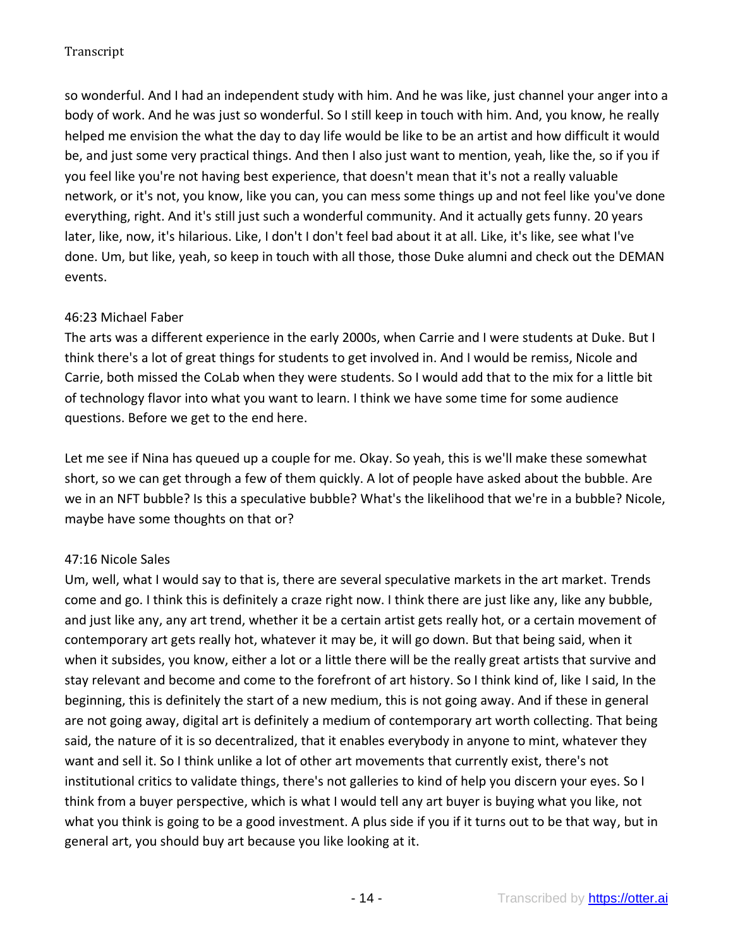so wonderful. And I had an independent study with him. And he was like, just channel your anger into a body of work. And he was just so wonderful. So I still keep in touch with him. And, you know, he really helped me envision the what the day to day life would be like to be an artist and how difficult it would be, and just some very practical things. And then I also just want to mention, yeah, like the, so if you if you feel like you're not having best experience, that doesn't mean that it's not a really valuable network, or it's not, you know, like you can, you can mess some things up and not feel like you've done everything, right. And it's still just such a wonderful community. And it actually gets funny. 20 years later, like, now, it's hilarious. Like, I don't I don't feel bad about it at all. Like, it's like, see what I've done. Um, but like, yeah, so keep in touch with all those, those Duke alumni and check out the DEMAN events.

# 46:23 Michael Faber

The arts was a different experience in the early 2000s, when Carrie and I were students at Duke. But I think there's a lot of great things for students to get involved in. And I would be remiss, Nicole and Carrie, both missed the CoLab when they were students. So I would add that to the mix for a little bit of technology flavor into what you want to learn. I think we have some time for some audience questions. Before we get to the end here.

Let me see if Nina has queued up a couple for me. Okay. So yeah, this is we'll make these somewhat short, so we can get through a few of them quickly. A lot of people have asked about the bubble. Are we in an NFT bubble? Is this a speculative bubble? What's the likelihood that we're in a bubble? Nicole, maybe have some thoughts on that or?

# 47:16 Nicole Sales

Um, well, what I would say to that is, there are several speculative markets in the art market. Trends come and go. I think this is definitely a craze right now. I think there are just like any, like any bubble, and just like any, any art trend, whether it be a certain artist gets really hot, or a certain movement of contemporary art gets really hot, whatever it may be, it will go down. But that being said, when it when it subsides, you know, either a lot or a little there will be the really great artists that survive and stay relevant and become and come to the forefront of art history. So I think kind of, like I said, In the beginning, this is definitely the start of a new medium, this is not going away. And if these in general are not going away, digital art is definitely a medium of contemporary art worth collecting. That being said, the nature of it is so decentralized, that it enables everybody in anyone to mint, whatever they want and sell it. So I think unlike a lot of other art movements that currently exist, there's not institutional critics to validate things, there's not galleries to kind of help you discern your eyes. So I think from a buyer perspective, which is what I would tell any art buyer is buying what you like, not what you think is going to be a good investment. A plus side if you if it turns out to be that way, but in general art, you should buy art because you like looking at it.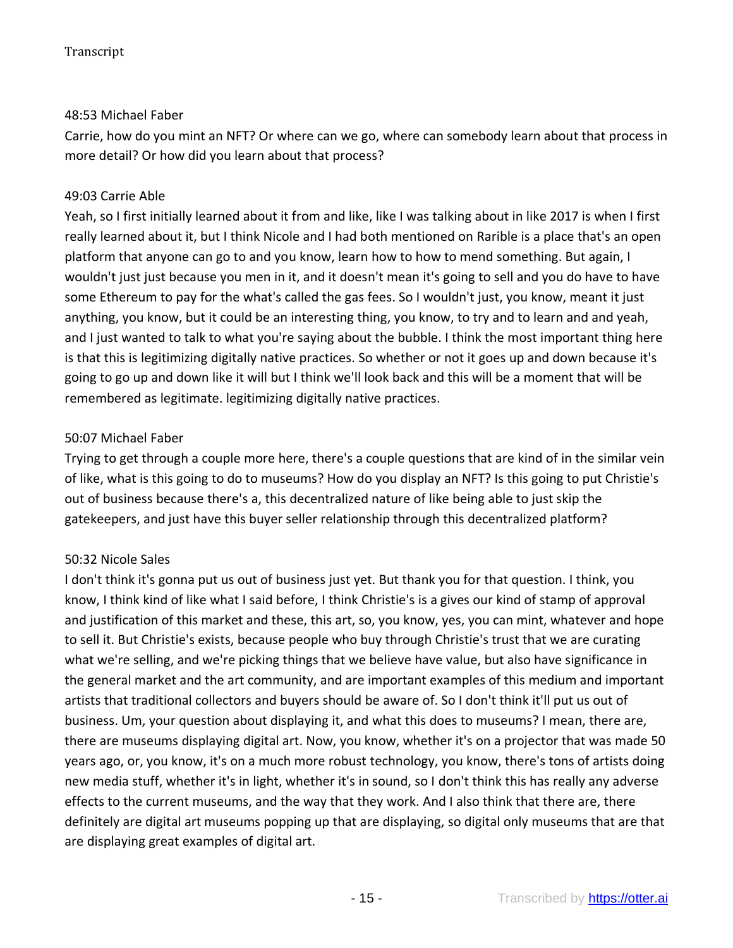# 48:53 Michael Faber

Carrie, how do you mint an NFT? Or where can we go, where can somebody learn about that process in more detail? Or how did you learn about that process?

# 49:03 Carrie Able

Yeah, so I first initially learned about it from and like, like I was talking about in like 2017 is when I first really learned about it, but I think Nicole and I had both mentioned on Rarible is a place that's an open platform that anyone can go to and you know, learn how to how to mend something. But again, I wouldn't just just because you men in it, and it doesn't mean it's going to sell and you do have to have some Ethereum to pay for the what's called the gas fees. So I wouldn't just, you know, meant it just anything, you know, but it could be an interesting thing, you know, to try and to learn and and yeah, and I just wanted to talk to what you're saying about the bubble. I think the most important thing here is that this is legitimizing digitally native practices. So whether or not it goes up and down because it's going to go up and down like it will but I think we'll look back and this will be a moment that will be remembered as legitimate. legitimizing digitally native practices.

### 50:07 Michael Faber

Trying to get through a couple more here, there's a couple questions that are kind of in the similar vein of like, what is this going to do to museums? How do you display an NFT? Is this going to put Christie's out of business because there's a, this decentralized nature of like being able to just skip the gatekeepers, and just have this buyer seller relationship through this decentralized platform?

# 50:32 Nicole Sales

I don't think it's gonna put us out of business just yet. But thank you for that question. I think, you know, I think kind of like what I said before, I think Christie's is a gives our kind of stamp of approval and justification of this market and these, this art, so, you know, yes, you can mint, whatever and hope to sell it. But Christie's exists, because people who buy through Christie's trust that we are curating what we're selling, and we're picking things that we believe have value, but also have significance in the general market and the art community, and are important examples of this medium and important artists that traditional collectors and buyers should be aware of. So I don't think it'll put us out of business. Um, your question about displaying it, and what this does to museums? I mean, there are, there are museums displaying digital art. Now, you know, whether it's on a projector that was made 50 years ago, or, you know, it's on a much more robust technology, you know, there's tons of artists doing new media stuff, whether it's in light, whether it's in sound, so I don't think this has really any adverse effects to the current museums, and the way that they work. And I also think that there are, there definitely are digital art museums popping up that are displaying, so digital only museums that are that are displaying great examples of digital art.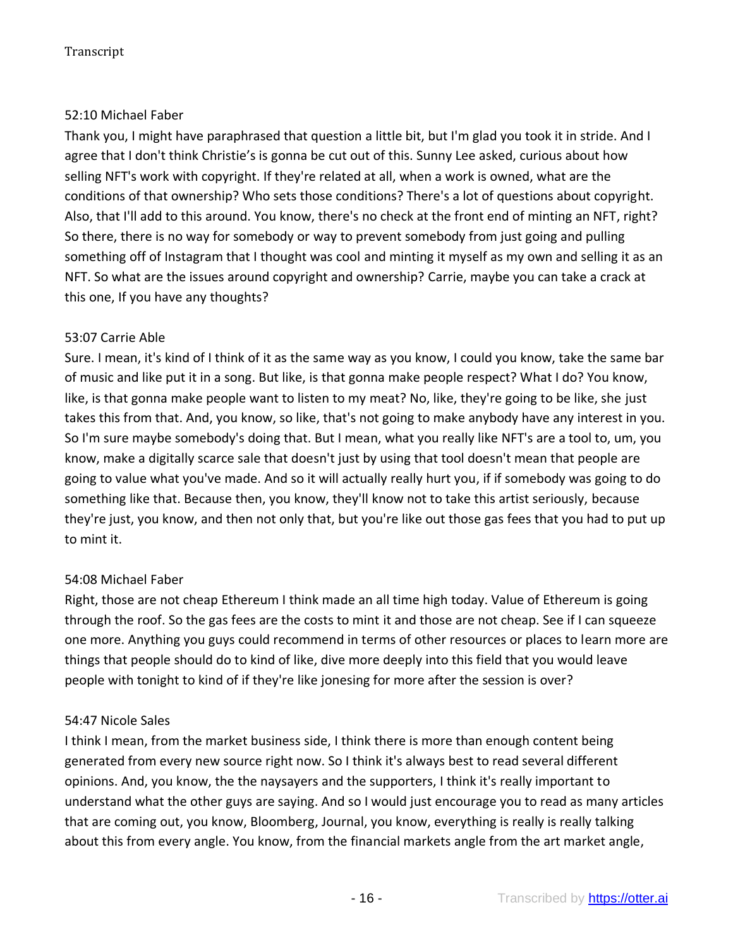# 52:10 Michael Faber

Thank you, I might have paraphrased that question a little bit, but I'm glad you took it in stride. And I agree that I don't think Christie's is gonna be cut out of this. Sunny Lee asked, curious about how selling NFT's work with copyright. If they're related at all, when a work is owned, what are the conditions of that ownership? Who sets those conditions? There's a lot of questions about copyright. Also, that I'll add to this around. You know, there's no check at the front end of minting an NFT, right? So there, there is no way for somebody or way to prevent somebody from just going and pulling something off of Instagram that I thought was cool and minting it myself as my own and selling it as an NFT. So what are the issues around copyright and ownership? Carrie, maybe you can take a crack at this one, If you have any thoughts?

# 53:07 Carrie Able

Sure. I mean, it's kind of I think of it as the same way as you know, I could you know, take the same bar of music and like put it in a song. But like, is that gonna make people respect? What I do? You know, like, is that gonna make people want to listen to my meat? No, like, they're going to be like, she just takes this from that. And, you know, so like, that's not going to make anybody have any interest in you. So I'm sure maybe somebody's doing that. But I mean, what you really like NFT's are a tool to, um, you know, make a digitally scarce sale that doesn't just by using that tool doesn't mean that people are going to value what you've made. And so it will actually really hurt you, if if somebody was going to do something like that. Because then, you know, they'll know not to take this artist seriously, because they're just, you know, and then not only that, but you're like out those gas fees that you had to put up to mint it.

# 54:08 Michael Faber

Right, those are not cheap Ethereum I think made an all time high today. Value of Ethereum is going through the roof. So the gas fees are the costs to mint it and those are not cheap. See if I can squeeze one more. Anything you guys could recommend in terms of other resources or places to learn more are things that people should do to kind of like, dive more deeply into this field that you would leave people with tonight to kind of if they're like jonesing for more after the session is over?

# 54:47 Nicole Sales

I think I mean, from the market business side, I think there is more than enough content being generated from every new source right now. So I think it's always best to read several different opinions. And, you know, the the naysayers and the supporters, I think it's really important to understand what the other guys are saying. And so I would just encourage you to read as many articles that are coming out, you know, Bloomberg, Journal, you know, everything is really is really talking about this from every angle. You know, from the financial markets angle from the art market angle,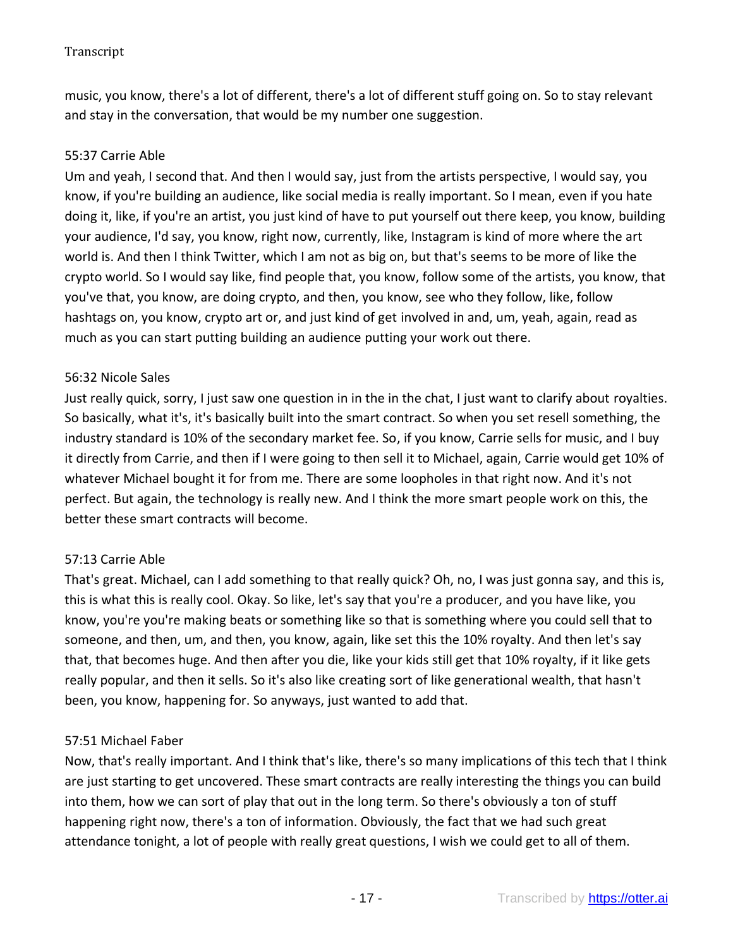music, you know, there's a lot of different, there's a lot of different stuff going on. So to stay relevant and stay in the conversation, that would be my number one suggestion.

#### 55:37 Carrie Able

Um and yeah, I second that. And then I would say, just from the artists perspective, I would say, you know, if you're building an audience, like social media is really important. So I mean, even if you hate doing it, like, if you're an artist, you just kind of have to put yourself out there keep, you know, building your audience, I'd say, you know, right now, currently, like, Instagram is kind of more where the art world is. And then I think Twitter, which I am not as big on, but that's seems to be more of like the crypto world. So I would say like, find people that, you know, follow some of the artists, you know, that you've that, you know, are doing crypto, and then, you know, see who they follow, like, follow hashtags on, you know, crypto art or, and just kind of get involved in and, um, yeah, again, read as much as you can start putting building an audience putting your work out there.

### 56:32 Nicole Sales

Just really quick, sorry, I just saw one question in in the in the chat, I just want to clarify about royalties. So basically, what it's, it's basically built into the smart contract. So when you set resell something, the industry standard is 10% of the secondary market fee. So, if you know, Carrie sells for music, and I buy it directly from Carrie, and then if I were going to then sell it to Michael, again, Carrie would get 10% of whatever Michael bought it for from me. There are some loopholes in that right now. And it's not perfect. But again, the technology is really new. And I think the more smart people work on this, the better these smart contracts will become.

# 57:13 Carrie Able

That's great. Michael, can I add something to that really quick? Oh, no, I was just gonna say, and this is, this is what this is really cool. Okay. So like, let's say that you're a producer, and you have like, you know, you're you're making beats or something like so that is something where you could sell that to someone, and then, um, and then, you know, again, like set this the 10% royalty. And then let's say that, that becomes huge. And then after you die, like your kids still get that 10% royalty, if it like gets really popular, and then it sells. So it's also like creating sort of like generational wealth, that hasn't been, you know, happening for. So anyways, just wanted to add that.

#### 57:51 Michael Faber

Now, that's really important. And I think that's like, there's so many implications of this tech that I think are just starting to get uncovered. These smart contracts are really interesting the things you can build into them, how we can sort of play that out in the long term. So there's obviously a ton of stuff happening right now, there's a ton of information. Obviously, the fact that we had such great attendance tonight, a lot of people with really great questions, I wish we could get to all of them.